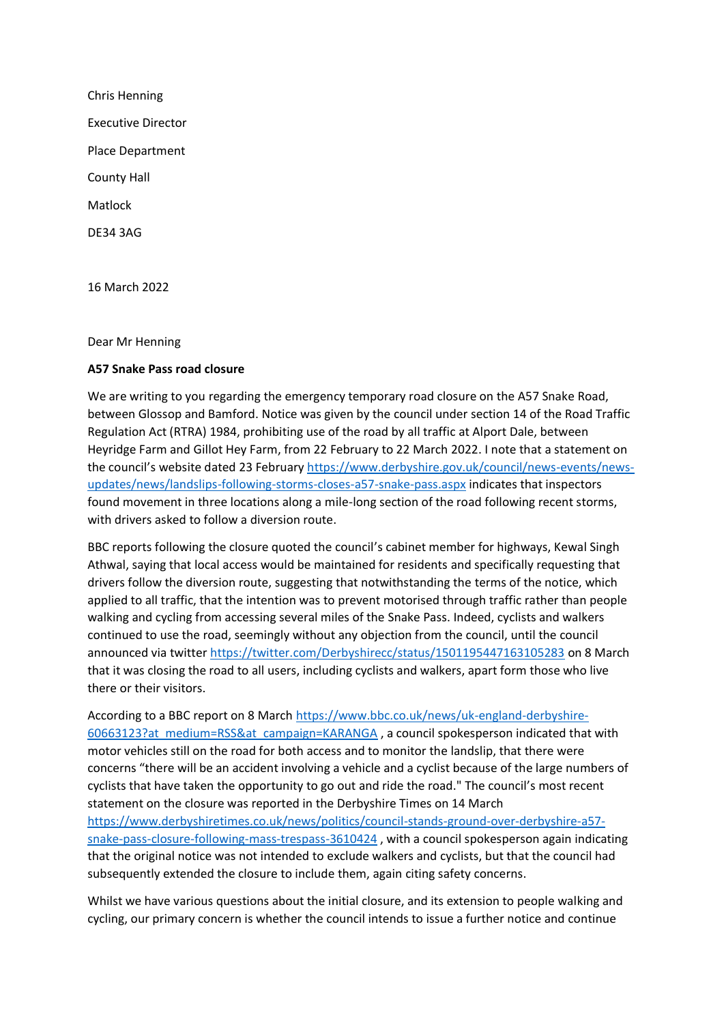Chris Henning Executive Director Place Department County Hall Matlock DE34 3AG

16 March 2022

## Dear Mr Henning

## **A57 Snake Pass road closure**

We are writing to you regarding the emergency temporary road closure on the A57 Snake Road, between Glossop and Bamford. Notice was given by the council under section 14 of the Road Traffic Regulation Act (RTRA) 1984, prohibiting use of the road by all traffic at Alport Dale, between Heyridge Farm and Gillot Hey Farm, from 22 February to 22 March 2022. I note that a statement on the council's website dated 23 February [https://www.derbyshire.gov.uk/council/news-events/news](https://www.derbyshire.gov.uk/council/news-events/news-updates/news/landslips-following-storms-closes-a57-snake-pass.aspx)[updates/news/landslips-following-storms-closes-a57-snake-pass.aspx](https://www.derbyshire.gov.uk/council/news-events/news-updates/news/landslips-following-storms-closes-a57-snake-pass.aspx) indicates that inspectors found movement in three locations along a mile-long section of the road following recent storms, with drivers asked to follow a diversion route.

BBC reports following the closure quoted the council's cabinet member for highways, Kewal Singh Athwal, saying that local access would be maintained for residents and specifically requesting that drivers follow the diversion route, suggesting that notwithstanding the terms of the notice, which applied to all traffic, that the intention was to prevent motorised through traffic rather than people walking and cycling from accessing several miles of the Snake Pass. Indeed, cyclists and walkers continued to use the road, seemingly without any objection from the council, until the council announced via twitter<https://twitter.com/Derbyshirecc/status/1501195447163105283> on 8 March that it was closing the road to all users, including cyclists and walkers, apart form those who live there or their visitors.

According to a BBC report on 8 March [https://www.bbc.co.uk/news/uk-england-derbyshire-](https://www.bbc.co.uk/news/uk-england-derbyshire-60663123?at_medium=RSS&at_campaign=KARANGA)[60663123?at\\_medium=RSS&at\\_campaign=KARANGA](https://www.bbc.co.uk/news/uk-england-derbyshire-60663123?at_medium=RSS&at_campaign=KARANGA) , a council spokesperson indicated that with motor vehicles still on the road for both access and to monitor the landslip, that there were concerns "there will be an accident involving a vehicle and a cyclist because of the large numbers of cyclists that have taken the opportunity to go out and ride the road." The council's most recent statement on the closure was reported in the Derbyshire Times on 14 March [https://www.derbyshiretimes.co.uk/news/politics/council-stands-ground-over-derbyshire-a57](https://www.derbyshiretimes.co.uk/news/politics/council-stands-ground-over-derbyshire-a57-snake-pass-closure-following-mass-trespass-3610424) [snake-pass-closure-following-mass-trespass-3610424](https://www.derbyshiretimes.co.uk/news/politics/council-stands-ground-over-derbyshire-a57-snake-pass-closure-following-mass-trespass-3610424) , with a council spokesperson again indicating that the original notice was not intended to exclude walkers and cyclists, but that the council had subsequently extended the closure to include them, again citing safety concerns.

Whilst we have various questions about the initial closure, and its extension to people walking and cycling, our primary concern is whether the council intends to issue a further notice and continue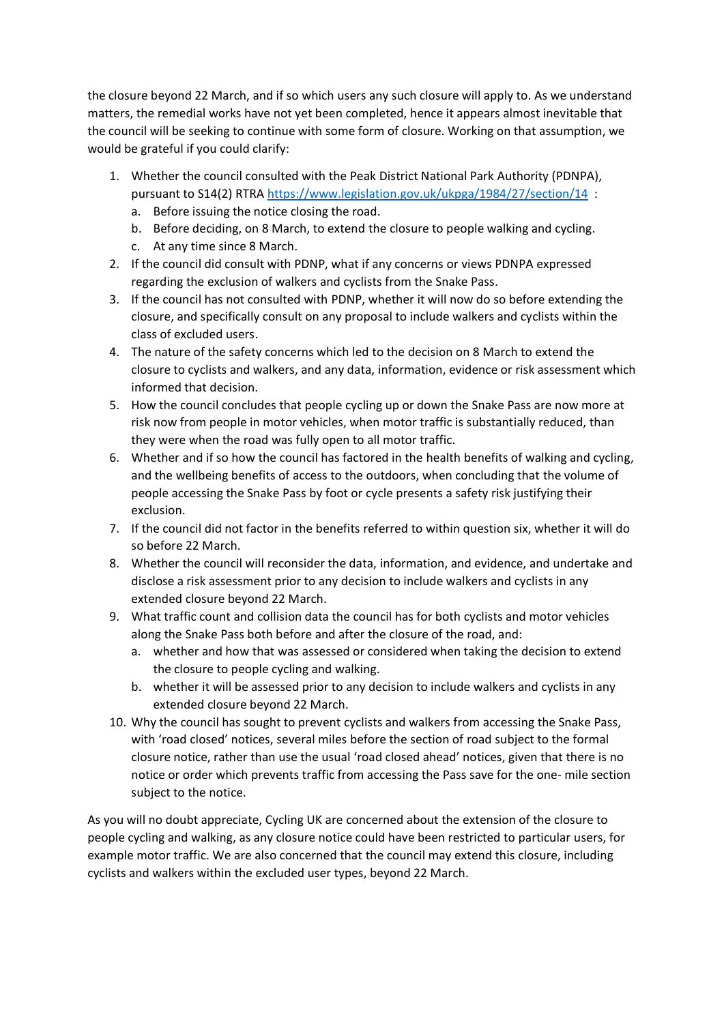the closure beyond 22 March, and if so which users any such closure will apply to. As we understand matters, the remedial works have not yet been completed, hence it appears almost inevitable that the council will be seeking to continue with some form of closure. Working on that assumption, we would be grateful if you could clarify:

- 1. Whether the council consulted with the Peak District National Park Authority (PDNPA), pursuant to S14(2) RTRA <https://www.legislation.gov.uk/ukpga/1984/27/section/14> :
	- a. Before issuing the notice closing the road.
	- b. Before deciding, on 8 March, to extend the closure to people walking and cycling.
	- c. At any time since 8 March.
- 2. If the council did consult with PDNP, what if any concerns or views PDNPA expressed regarding the exclusion of walkers and cyclists from the Snake Pass.
- 3. If the council has not consulted with PDNP, whether it will now do so before extending the closure, and specifically consult on any proposal to include walkers and cyclists within the class of excluded users.
- 4. The nature of the safety concerns which led to the decision on 8 March to extend the closure to cyclists and walkers, and any data, information, evidence or risk assessment which informed that decision.
- 5. How the council concludes that people cycling up or down the Snake Pass are now more at risk now from people in motor vehicles, when motor traffic is substantially reduced, than they were when the road was fully open to all motor traffic.
- 6. Whether and if so how the council has factored in the health benefits of walking and cycling, and the wellbeing benefits of access to the outdoors, when concluding that the volume of people accessing the Snake Pass by foot or cycle presents a safety risk justifying their exclusion.
- 7. If the council did not factor in the benefits referred to within question six, whether it will do so before 22 March.
- 8. Whether the council will reconsider the data, information, and evidence, and undertake and disclose a risk assessment prior to any decision to include walkers and cyclists in any extended closure beyond 22 March.
- 9. What traffic count and collision data the council has for both cyclists and motor vehicles along the Snake Pass both before and after the closure of the road, and:
	- a. whether and how that was assessed or considered when taking the decision to extend the closure to people cycling and walking.
	- b. whether it will be assessed prior to any decision to include walkers and cyclists in any extended closure beyond 22 March.
- 10. Why the council has sought to prevent cyclists and walkers from accessing the Snake Pass, with 'road closed' notices, several miles before the section of road subject to the formal closure notice, rather than use the usual 'road closed ahead' notices, given that there is no notice or order which prevents traffic from accessing the Pass save for the one- mile section subject to the notice.

As you will no doubt appreciate, Cycling UK are concerned about the extension of the closure to people cycling and walking, as any closure notice could have been restricted to particular users, for example motor traffic. We are also concerned that the council may extend this closure, including cyclists and walkers within the excluded user types, beyond 22 March.